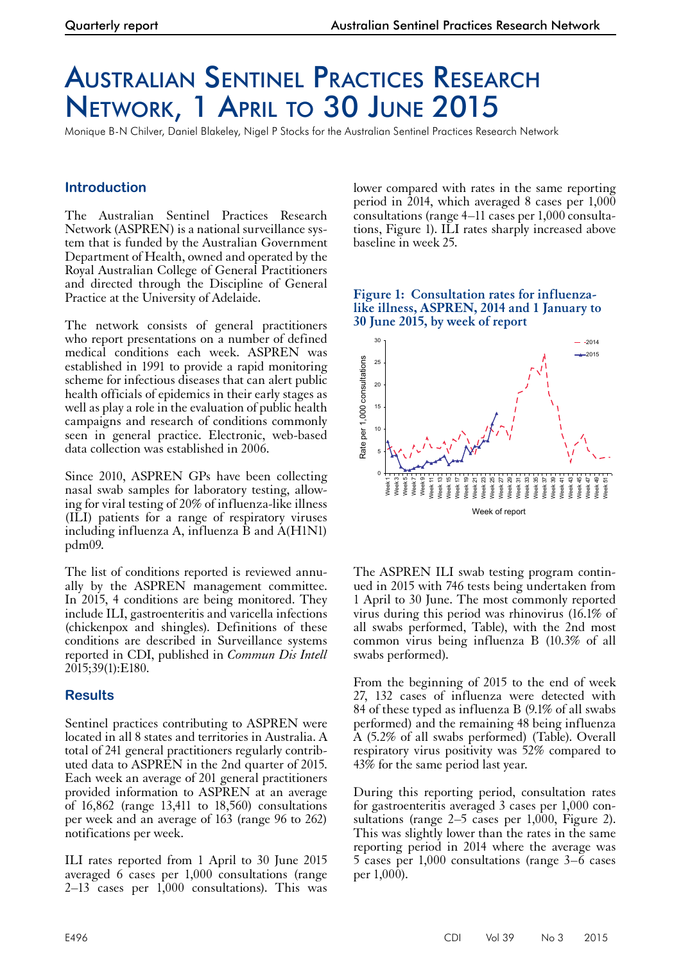# Australian Sentinel Practices Research Network, 1 April to 30 June 2015

Monique B-N Chilver, Daniel Blakeley, Nigel P Stocks for the Australian Sentinel Practices Research Network

## **Introduction**

The Australian Sentinel Practices Research Network (ASPREN) is a national surveillance system that is funded by the Australian Government Department of Health, owned and operated by the Royal Australian College of General Practitioners and directed through the Discipline of General Practice at the University of Adelaide.

The network consists of general practitioners who report presentations on a number of defined medical conditions each week. ASPREN was established in 1991 to provide a rapid monitoring scheme for infectious diseases that can alert public health officials of epidemics in their early stages as well as play a role in the evaluation of public health campaigns and research of conditions commonly seen in general practice. Electronic, web-based data collection was established in 2006.

Since 2010, ASPREN GPs have been collecting nasal swab samples for laboratory testing, allowing for viral testing of 20% of influenza-like illness (ILI) patients for a range of respiratory viruses including influenza A, influenza  $\hat{B}$  and  $\hat{A}$ (H1N1) pdm09.

The list of conditions reported is reviewed annu- ally by the ASPREN management committee. In 2015, 4 conditions are being monitored. They include ILI, gastroenteritis and varicella infections (chickenpox and shingles). Definitions of these conditions are described in Surveillance systems reported in CDI, published in *Commun Dis Intell* 2015;39(1):E180.

## **Results**

Sentinel practices contributing to ASPREN were located in all 8 states and territories in Australia. A total of 241 general practitioners regularly contributed data to ASPREN in the 2nd quarter of 2015. Each week an average of 201 general practitioners provided information to ASPREN at an average of 16,862 (range 13,411 to 18,560) consultations per week and an average of 163 (range 96 to 262) notifications per week.

ILI rates reported from 1 April to 30 June 2015 averaged 6 cases per 1,000 consultations (range 2–13 cases per 1,000 consultations). This was

lower compared with rates in the same reporting period in 2014, which averaged 8 cases per 1,000 consultations (range 4–11 cases per 1,000 consultations, Figure 1). ILI rates sharply increased above baseline in week 25.

### **Figure 1: Consultation rates for influenzalike illness, ASPREN, 2014 and 1 January to 30 June 2015, by week of report**



The ASPREN ILI swab testing program contin- ued in 2015 with 746 tests being undertaken from 1 April to 30 June. The most commonly reported virus during this period was rhinovirus (16.1% of all swabs performed, Table), with the 2nd most common virus being influenza B (10.3% of all swabs performed).

From the beginning of 2015 to the end of week 27, 132 cases of influenza were detected with 84 of these typed as influenza B (9.1% of all swabs performed) and the remaining 48 being influenza A (5.2% of all swabs performed) (Table). Overall respiratory virus positivity was 52% compared to 43% for the same period last year.

During this reporting period, consultation rates for gastroenteritis averaged 3 cases per 1,000 con- sultations (range 2–5 cases per 1,000, Figure 2). This was slightly lower than the rates in the same reporting period in 2014 where the average was 5 cases per 1,000 consultations (range 3–6 cases per  $1,000$ ).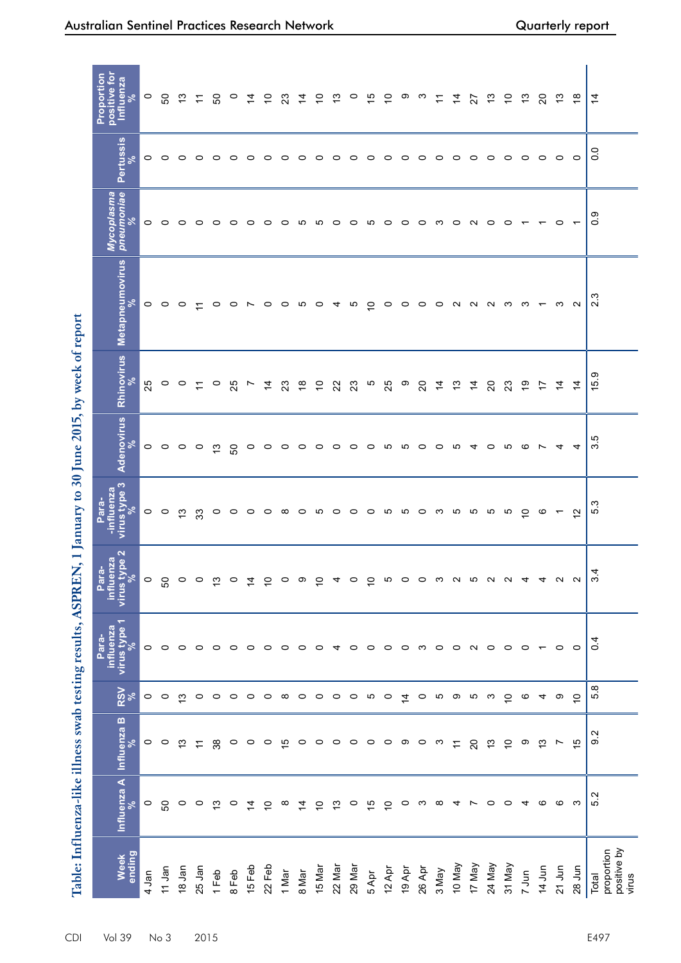|                                             |                |                    |                | Table: Influenza-like illness swab testing results, ASPREN, | $\overline{\phantom{0}}$                                           | January to 30 June 2015, by week of report |                 |                           |                                |                                  |                        |                                                       |
|---------------------------------------------|----------------|--------------------|----------------|-------------------------------------------------------------|--------------------------------------------------------------------|--------------------------------------------|-----------------|---------------------------|--------------------------------|----------------------------------|------------------------|-------------------------------------------------------|
| Week<br>ending                              | Influenza A    | <b>Influenza B</b> | <b>RSV</b>     | influenza<br>virus type 1<br>expe 1<br>Para-                | $\mathbf{a}$<br><b>pa</b><br>pezr<br>Para-<br>virus typ<br>influer | -influenza<br>virus type 3<br>Para-        | Adenovirus      | Rhinovirus                | Metapneumovirus<br>%           | Mycoplasma<br>pneumoniae<br>$\%$ | <b>Pertussis</b><br>వి | positive for<br>Proportion<br><b>Influenza</b><br>- % |
| 4 Jan                                       | $\circ$        | $\circ$            | $\circ$        | $\circ$                                                     | $\circ$                                                            |                                            |                 | 25                        |                                |                                  | $\circ$                | $\circ$                                               |
| 11 Jan                                      | SO             | $\circ$            | $\circ$        | $\circ$                                                     | SO                                                                 | $\circ$ $\circ$                            | $\circ$ $\circ$ |                           | $\circ$ $\circ$ $\circ$        | $\circ$ $\circ$ $\circ$          | $\circ$                | SO                                                    |
| 18 Jan                                      | $\circ$        | 13                 | ഇ              | $\circ$                                                     | $\circ$                                                            | $\frac{1}{2}$                              | $\circ$         | $\circ$ $\circ$           |                                |                                  | $\circ$                | مبر<br>ب                                              |
| 25 Jan                                      | $\circ$        | $\overline{r}$     | $\circ$        | $\circ$                                                     | $\circ$                                                            | 33                                         | $\circ$         | $\tilde{t}$               | $\overline{z}$                 |                                  | $\circ$                | $\cong$                                               |
| $1$ Feb                                     | $\tilde{c}$    | 38                 | $\circ$        | $\circ$                                                     | $\tilde{c}$                                                        | $\circ$                                    | $\tilde{c}$     | $\circ$                   |                                | $\circ \circ \circ \circ$        | $\circ$                | င္တ                                                   |
| 8 Feb                                       | $\circ$        | $\circ$            | $\circ$        | $\circ$                                                     | $\circ$                                                            | $\circ$ $\circ$                            | SO              | 25                        |                                |                                  | $\circ$                | $\circ$                                               |
| 15 Feb                                      | $\dot{4}$      | $\circ$            | $\circ$        | $\circ$                                                     | $\dot{4}$                                                          |                                            | $\circ$         | L                         | $\circ$ $\circ$ $\sim$ $\circ$ |                                  | $\circ$                | $\tilde{4}$                                           |
| 22 Feb                                      | $\overline{C}$ | $\circ$            | $\circ$        | $\circ$                                                     | $\overline{C}$                                                     | $\circ$                                    | $\circ$         | $\overline{4}$            |                                | $\circ$                          | $\circ$                | $\overline{C}$                                        |
| 1 Mar                                       | $\infty$       | 15                 | $\infty$       | $\circ$                                                     | $\circ$                                                            |                                            | $\circ$         | 23                        |                                |                                  | $\circ$                | 23                                                    |
| 8 Mar                                       | $\overline{4}$ | $\circ$            | $\circ$        | $\circ$                                                     | ၜ                                                                  | ___________________                        | $\circ$         | $\frac{8}{1}$             | o n o 4 n <del>ó</del>         |                                  | $\circ$                | $\dot{4}$                                             |
| 15 Mar                                      | $\overline{C}$ | $\circ$            | $\circ$        | $\circ$                                                     | $\overline{C}$                                                     |                                            | $\circ$         | $\overline{C}$            |                                |                                  | $\circ$                | $\overline{C}$                                        |
| 22 Mar                                      | $\tilde{c}$    | $\circ$            | $\circ$        | $\overline{4}$                                              | 4                                                                  |                                            | $\circ$         | 22                        |                                |                                  | $\circ$                | $\frac{3}{2}$                                         |
| 29 Mar                                      | $\circ$        | $\circ$            | $\circ$        | $\circ$                                                     | $\circ$                                                            |                                            | $\circ$ $\circ$ | 23                        |                                |                                  | $\circ$ $\circ$        | $\circ$                                               |
| 5 Apr                                       | 15             | $\circ$            | 5              | $\circ$                                                     | $\overline{C}$                                                     |                                            |                 | 5                         |                                |                                  |                        | 15                                                    |
| 12 Apr                                      | $\tilde{a}$    | $\circ$            | $\circ$        | $\circ$                                                     | Ю                                                                  |                                            | မ               | 25                        | $\circ$                        | 00000000                         | $\circ$                | $\overline{C}$                                        |
| 19 Apr                                      | $\circ$        | ၜ                  | $\overline{4}$ | $\circ$                                                     | $\circ$                                                            |                                            | ശ               | ၜ                         | $\circ$                        |                                  | $\circ$                | ၜ                                                     |
| 26 Apr                                      | က              | $\circ$            | $\circ$        | က                                                           | $\circ$                                                            |                                            | $\circ$         | $\mathsf{S}^{\mathsf{O}}$ |                                |                                  | $\circ$                | _ ന                                                   |
| 3 May                                       | $\infty$       | က                  | ю              | $\circ$                                                     | ా                                                                  |                                            | $\circ$         | $\dot{4}$                 | o o n n n m n <del>r</del>     |                                  | $\circ$                | $\overline{ }$                                        |
| YeW 01                                      | 4              | $\overline{1}$     | ာ              | $\circ$                                                     |                                                                    |                                            | ယ               | $\tilde{\mathfrak{c}}$    |                                |                                  | $\circ$                | $\tilde{4}$                                           |
| 17 May                                      | $\overline{ }$ | $\overline{c}$     | မာ ယ           | $\sim$ $\sim$                                               | R R R                                                              |                                            | $\overline{4}$  | $\overline{4}$            |                                |                                  | $\circ$ $\circ$        | 27                                                    |
| 24 May                                      | $\circ$        | 13                 |                |                                                             |                                                                    |                                            | $\circ$         | $\Omega$                  |                                |                                  |                        | $\tilde{\mathfrak{c}}$                                |
| 31 May                                      | $\circ$        | $\overline{C}$     | $\overline{C}$ | $\circ$                                                     | ്                                                                  |                                            | ယ               | 23                        |                                | $\circ$                          | $\circ$                | $\overline{C}$                                        |
| 7 Jun                                       | 4              | တ                  | ဖ              | $\circ$                                                     | $\overline{4}$                                                     | $\epsilon$                                 | ဖ               | $\overline{9}$            |                                | $\overline{ }$                   | $\circ$                | $\tilde{\mathfrak{c}}$                                |
| 14 Jun                                      | G              | $\frac{3}{2}$      | 4              | $\overline{ }$                                              | $\overline{4}$                                                     | $\circ$ $\sim$                             | $\overline{ }$  | 17                        |                                | $\overline{\phantom{0}}$         | $\circ$                | $\overline{c}$                                        |
| 21 Jun                                      | G              | r                  | တ              | $\circ$                                                     | $\sim$                                                             |                                            | 4               | $\frac{4}{3}$             | ო                              | $\circ$                          | $\circ$                | $\tilde{\mathfrak{c}}$                                |
| 28 Jun                                      | က              | 15                 | $\overline{C}$ | $\circ$                                                     | $\sim$                                                             | $\tilde{\mathfrak{h}}$                     | 4               | $\dot{4}$                 | $\sim$                         | $\overline{\phantom{0}}$         | $\circ$                | $\frac{8}{10}$                                        |
| positive by<br>proportion<br>Total<br>virus | 5.2            | 9.2                | œ<br>ເດ່       | 0.4                                                         | 4<br>က                                                             | 5.3                                        | rö<br>က         | ၜႋ<br><u>بة</u>           | က<br>$\mathbf{\Omega}$         | တ္<br>Ö                          | 0.0                    | $\dot{4}$                                             |